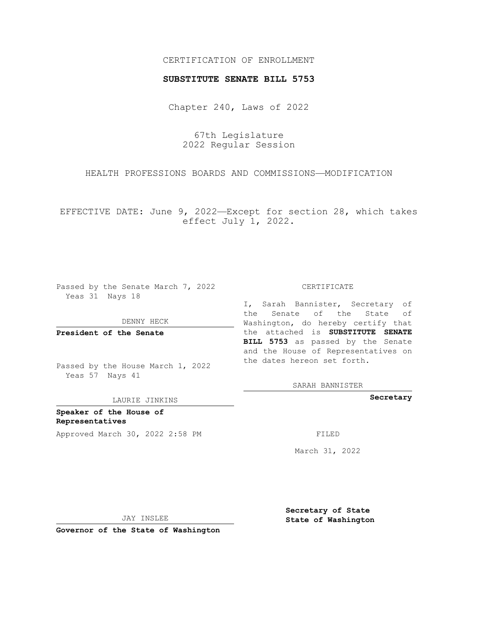## CERTIFICATION OF ENROLLMENT

## **SUBSTITUTE SENATE BILL 5753**

Chapter 240, Laws of 2022

67th Legislature 2022 Regular Session

HEALTH PROFESSIONS BOARDS AND COMMISSIONS—MODIFICATION

EFFECTIVE DATE: June 9, 2022—Except for section 28, which takes effect July 1, 2022.

Passed by the Senate March 7, 2022 Yeas 31 Nays 18

DENNY HECK

**President of the Senate**

Passed by the House March 1, 2022 Yeas 57 Nays 41

LAURIE JINKINS

**Speaker of the House of Representatives** Approved March 30, 2022 2:58 PM

CERTIFICATE

I, Sarah Bannister, Secretary of the Senate of the State of Washington, do hereby certify that the attached is **SUBSTITUTE SENATE BILL 5753** as passed by the Senate and the House of Representatives on the dates hereon set forth.

SARAH BANNISTER

**Secretary**

March 31, 2022

JAY INSLEE

**Governor of the State of Washington**

**Secretary of State State of Washington**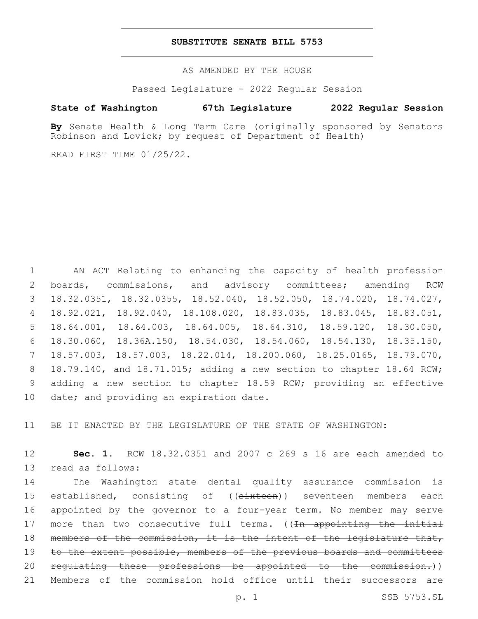## **SUBSTITUTE SENATE BILL 5753**

AS AMENDED BY THE HOUSE

Passed Legislature - 2022 Regular Session

## **State of Washington 67th Legislature 2022 Regular Session**

**By** Senate Health & Long Term Care (originally sponsored by Senators Robinson and Lovick; by request of Department of Health)

READ FIRST TIME 01/25/22.

 AN ACT Relating to enhancing the capacity of health profession boards, commissions, and advisory committees; amending RCW 18.32.0351, 18.32.0355, 18.52.040, 18.52.050, 18.74.020, 18.74.027, 18.92.021, 18.92.040, 18.108.020, 18.83.035, 18.83.045, 18.83.051, 18.64.001, 18.64.003, 18.64.005, 18.64.310, 18.59.120, 18.30.050, 18.30.060, 18.36A.150, 18.54.030, 18.54.060, 18.54.130, 18.35.150, 18.57.003, 18.57.003, 18.22.014, 18.200.060, 18.25.0165, 18.79.070, 18.79.140, and 18.71.015; adding a new section to chapter 18.64 RCW; adding a new section to chapter 18.59 RCW; providing an effective 10 date; and providing an expiration date.

11 BE IT ENACTED BY THE LEGISLATURE OF THE STATE OF WASHINGTON:

12 **Sec. 1.** RCW 18.32.0351 and 2007 c 269 s 16 are each amended to 13 read as follows:

14 The Washington state dental quality assurance commission is 15 established, consisting of ((sixteen)) seventeen members each 16 appointed by the governor to a four-year term. No member may serve 17 more than two consecutive full terms. ((In appointing the initial 18 members of the commission, it is the intent of the legislature that, 19 to the extent possible, members of the previous boards and committees 20 regulating these professions be appointed to the commission.)) 21 Members of the commission hold office until their successors are

p. 1 SSB 5753.SL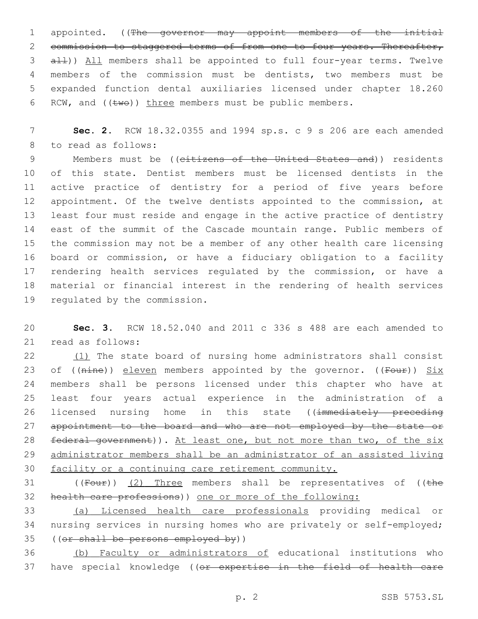1 appointed. ((The governor may appoint members of the initial 2 commission to staggered terms of from one to four years. Thereafter, 3 all)) All members shall be appointed to full four-year terms. Twelve 4 members of the commission must be dentists, two members must be 5 expanded function dental auxiliaries licensed under chapter 18.260 6 RCW, and  $((\text{two}))$  three members must be public members.

7 **Sec. 2.** RCW 18.32.0355 and 1994 sp.s. c 9 s 206 are each amended 8 to read as follows:

9 Members must be ((citizens of the United States and)) residents of this state. Dentist members must be licensed dentists in the active practice of dentistry for a period of five years before 12 appointment. Of the twelve dentists appointed to the commission, at least four must reside and engage in the active practice of dentistry east of the summit of the Cascade mountain range. Public members of the commission may not be a member of any other health care licensing board or commission, or have a fiduciary obligation to a facility 17 rendering health services regulated by the commission, or have a material or financial interest in the rendering of health services 19 regulated by the commission.

20 **Sec. 3.** RCW 18.52.040 and 2011 c 336 s 488 are each amended to 21 read as follows:

22 (1) The state board of nursing home administrators shall consist 23 of (( $nine$ )) eleven members appointed by the governor. (( $Four$ ))  $Six$ 24 members shall be persons licensed under this chapter who have at 25 least four years actual experience in the administration of a 26 licensed nursing home in this state ((immediately preceding 27 appointment to the board and who are not employed by the state or 28 federal government)). At least one, but not more than two, of the six 29 administrator members shall be an administrator of an assisted living 30 facility or a continuing care retirement community.

31 ((Four)) (2) Three members shall be representatives of ((the 32 health care professions)) one or more of the following:

33 (a) Licensed health care professionals providing medical or 34 nursing services in nursing homes who are privately or self-employed; 35 ((or shall be persons employed by))

36 (b) Faculty or administrators of educational institutions who 37 have special knowledge ((or expertise in the field of health care

p. 2 SSB 5753.SL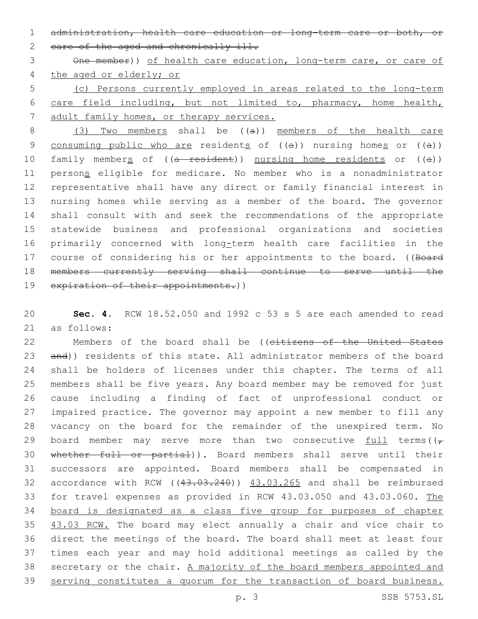1 administration, health care education or long-term care or both, or 2 eare of the aged and chronically ill.

3 One member)) of health care education, long-term care, or care of 4 the aged or elderly; or

5 (c) Persons currently employed in areas related to the long-term 6 care field including, but not limited to, pharmacy, home health, 7 adult family homes, or therapy services.

8 (3) Two members shall be ((a)) members of the health care 9 consuming public who are residents of  $((a))$  nursing homes or  $((a))$ 10 family members of ((a resident)) nursing home residents or ((a)) 11 persons eligible for medicare. No member who is a nonadministrator 12 representative shall have any direct or family financial interest in 13 nursing homes while serving as a member of the board. The governor 14 shall consult with and seek the recommendations of the appropriate 15 statewide business and professional organizations and societies 16 primarily concerned with long-term health care facilities in the 17 course of considering his or her appointments to the board. ((Board 18 members currently serving shall continue to serve until the 19 expiration of their appointments.))

20 **Sec. 4.** RCW 18.52.050 and 1992 c 53 s 5 are each amended to read 21 as follows:

22 Members of the board shall be ((citizens of the United States 23 and)) residents of this state. All administrator members of the board shall be holders of licenses under this chapter. The terms of all members shall be five years. Any board member may be removed for just cause including a finding of fact of unprofessional conduct or impaired practice. The governor may appoint a new member to fill any vacancy on the board for the remainder of the unexpired term. No 29 board member may serve more than two consecutive  $\frac{full}{t}$  terms( $(\tau$ 30 whether full or partial)). Board members shall serve until their successors are appointed. Board members shall be compensated in 32 accordance with RCW ((43.03.240)) 43.03.265 and shall be reimbursed for travel expenses as provided in RCW 43.03.050 and 43.03.060. The board is designated as a class five group for purposes of chapter 35 43.03 RCW. The board may elect annually a chair and vice chair to direct the meetings of the board. The board shall meet at least four times each year and may hold additional meetings as called by the 38 secretary or the chair. A majority of the board members appointed and serving constitutes a quorum for the transaction of board business.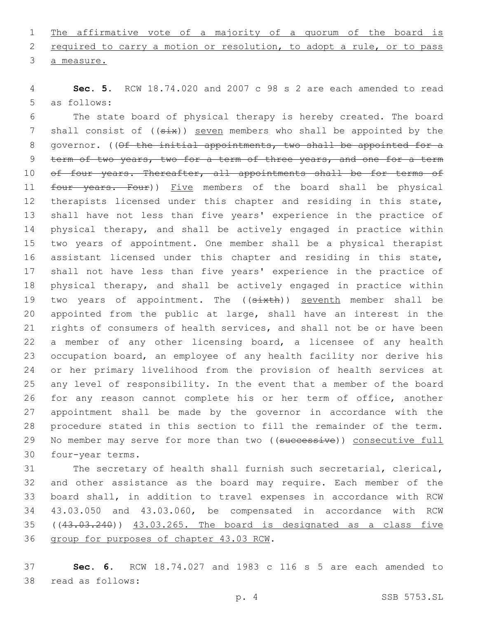1 The affirmative vote of a majority of a quorum of the board is 2 required to carry a motion or resolution, to adopt a rule, or to pass 3 a measure.

4 **Sec. 5.** RCW 18.74.020 and 2007 c 98 s 2 are each amended to read 5 as follows:

6 The state board of physical therapy is hereby created. The board 7 shall consist of  $((six))$  seven members who shall be appointed by the 8 governor. ((Of the initial appointments, two shall be appointed for a 9 term of two years, two for a term of three years, and one for a term 10 of four years. Thereafter, all appointments shall be for terms of 11 four years. Four)) Five members of the board shall be physical 12 therapists licensed under this chapter and residing in this state, 13 shall have not less than five years' experience in the practice of 14 physical therapy, and shall be actively engaged in practice within 15 two years of appointment. One member shall be a physical therapist 16 assistant licensed under this chapter and residing in this state, 17 shall not have less than five years' experience in the practice of 18 physical therapy, and shall be actively engaged in practice within 19 two years of appointment. The ((sixth)) seventh member shall be 20 appointed from the public at large, shall have an interest in the 21 rights of consumers of health services, and shall not be or have been 22 a member of any other licensing board, a licensee of any health 23 occupation board, an employee of any health facility nor derive his 24 or her primary livelihood from the provision of health services at 25 any level of responsibility. In the event that a member of the board 26 for any reason cannot complete his or her term of office, another 27 appointment shall be made by the governor in accordance with the 28 procedure stated in this section to fill the remainder of the term. 29 No member may serve for more than two ((successive)) consecutive full 30 four-year terms.

 The secretary of health shall furnish such secretarial, clerical, and other assistance as the board may require. Each member of the board shall, in addition to travel expenses in accordance with RCW 43.03.050 and 43.03.060, be compensated in accordance with RCW ((43.03.240)) 43.03.265. The board is designated as a class five 36 group for purposes of chapter 43.03 RCW.

37 **Sec. 6.** RCW 18.74.027 and 1983 c 116 s 5 are each amended to 38 read as follows: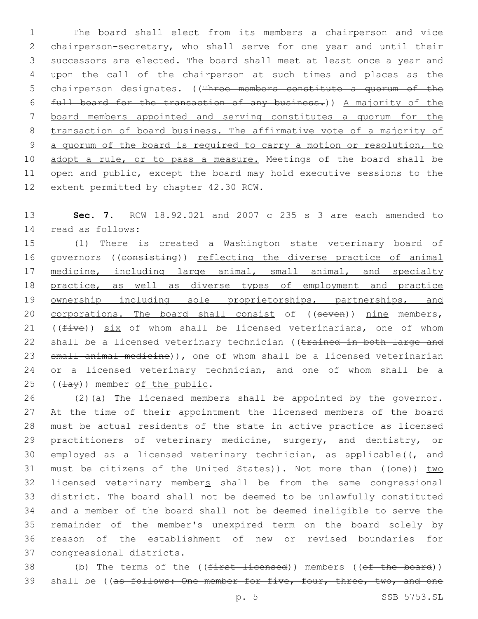The board shall elect from its members a chairperson and vice chairperson-secretary, who shall serve for one year and until their successors are elected. The board shall meet at least once a year and upon the call of the chairperson at such times and places as the 5 chairperson designates. ((Three members constitute a quorum of the full board for the transaction of any business.)) A majority of the board members appointed and serving constitutes a quorum for the transaction of board business. The affirmative vote of a majority of a quorum of the board is required to carry a motion or resolution, to 10 adopt a rule, or to pass a measure. Meetings of the board shall be open and public, except the board may hold executive sessions to the 12 extent permitted by chapter 42.30 RCW.

13 **Sec. 7.** RCW 18.92.021 and 2007 c 235 s 3 are each amended to read as follows:14

15 (1) There is created a Washington state veterinary board of 16 governors ((consisting)) reflecting the diverse practice of animal 17 medicine, including large animal, small animal, and specialty 18 practice, as well as diverse types of employment and practice 19 ownership including sole proprietorships, partnerships, and 20 corporations. The board shall consist of ((seven)) nine members, 21 ( $(five)$ ) six of whom shall be licensed veterinarians, one of whom 22 shall be a licensed veterinary technician ((trained in both large and 23 small animal medicine)), one of whom shall be a licensed veterinarian 24 or a licensed veterinary technician, and one of whom shall be a  $(1)$  (( $\pm$ ay)) member of the public.

26 (2)(a) The licensed members shall be appointed by the governor. 27 At the time of their appointment the licensed members of the board 28 must be actual residents of the state in active practice as licensed 29 practitioners of veterinary medicine, surgery, and dentistry, or 30 employed as a licensed veterinary technician, as applicable( $\sqrt{7}$  and 31 must be citizens of the United States)). Not more than ((one)) two 32 licensed veterinary members shall be from the same congressional 33 district. The board shall not be deemed to be unlawfully constituted 34 and a member of the board shall not be deemed ineligible to serve the 35 remainder of the member's unexpired term on the board solely by 36 reason of the establishment of new or revised boundaries for 37 congressional districts.

38 (b) The terms of the ((first licensed)) members ((of the board)) 39 shall be ((as follows: One member for five, four, three, two, and one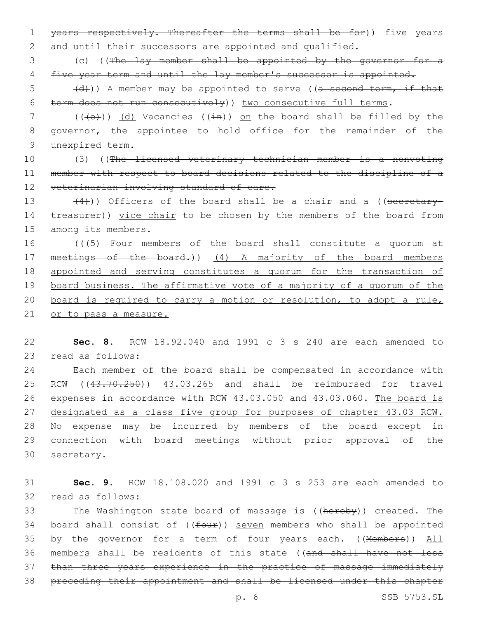1 years respectively. Thereafter the terms shall be for)) five years 2 and until their successors are appointed and qualified.

3 (c) ((The lay member shall be appointed by the governor for a 4 five year term and until the lay member's successor is appointed.

 $\frac{1}{6}$  (d)) A member may be appointed to serve ((a second term, if that 6 term does not run consecutively)) two consecutive full terms.

7 ( $(\text{+e})$ ) (d) Vacancies ( $(\text{+e})$ ) on the board shall be filled by the 8 governor, the appointee to hold office for the remainder of the 9 unexpired term.

10 (3) ((The licensed veterinary technician member is a nonvoting 11 member with respect to board decisions related to the discipline of a 12 veterinarian involving standard of care.

13  $(4)$ )) Officers of the board shall be a chair and a ((secretary-14 treasurer)) yice chair to be chosen by the members of the board from 15 among its members.

 (((5) Four members of the board shall constitute a quorum at 17 meetings of the board.)) (4) A majority of the board members appointed and serving constitutes a quorum for the transaction of board business. The affirmative vote of a majority of a quorum of the board is required to carry a motion or resolution, to adopt a rule, 21 or to pass a measure.

22 **Sec. 8.** RCW 18.92.040 and 1991 c 3 s 240 are each amended to 23 read as follows:

 Each member of the board shall be compensated in accordance with RCW ((43.70.250)) 43.03.265 and shall be reimbursed for travel expenses in accordance with RCW 43.03.050 and 43.03.060. The board is designated as a class five group for purposes of chapter 43.03 RCW. No expense may be incurred by members of the board except in connection with board meetings without prior approval of the 30 secretary.

31 **Sec. 9.** RCW 18.108.020 and 1991 c 3 s 253 are each amended to 32 read as follows:

33 The Washington state board of massage is ((hereby)) created. The 34 board shall consist of ((four)) seven members who shall be appointed 35 by the governor for a term of four years each. ((Members)) All 36 members shall be residents of this state ((and shall have not less 37 than three years experience in the practice of massage immediately 38 preceding their appointment and shall be licensed under this chapter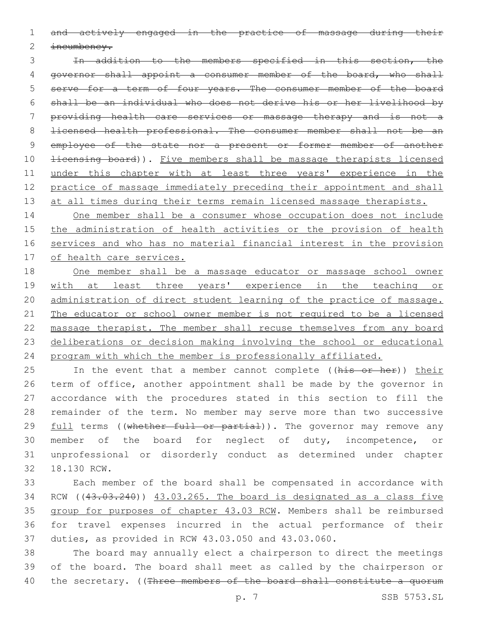and actively engaged in the practice of massage during their

incumbency.

 In addition to the members specified in this section, the governor shall appoint a consumer member of the board, who shall serve for a term of four years. The consumer member of the board shall be an individual who does not derive his or her livelihood by providing health care services or massage therapy and is not a licensed health professional. The consumer member shall not be an 9 employee of the state nor a present or former member of another 10 <del>licensing board</del>)). Five members shall be massage therapists licensed 11 under this chapter with at least three years' experience in the practice of massage immediately preceding their appointment and shall 13 at all times during their terms remain licensed massage therapists.

 One member shall be a consumer whose occupation does not include the administration of health activities or the provision of health services and who has no material financial interest in the provision of health care services.

 One member shall be a massage educator or massage school owner with at least three years' experience in the teaching or administration of direct student learning of the practice of massage. The educator or school owner member is not required to be a licensed massage therapist. The member shall recuse themselves from any board deliberations or decision making involving the school or educational program with which the member is professionally affiliated.

25 In the event that a member cannot complete ((his or her)) their term of office, another appointment shall be made by the governor in accordance with the procedures stated in this section to fill the remainder of the term. No member may serve more than two successive 29 full terms ((whether full or partial)). The governor may remove any member of the board for neglect of duty, incompetence, or unprofessional or disorderly conduct as determined under chapter 32 18.130 RCW.

 Each member of the board shall be compensated in accordance with 34 RCW ((43.03.240)) 43.03.265. The board is designated as a class five group for purposes of chapter 43.03 RCW. Members shall be reimbursed for travel expenses incurred in the actual performance of their duties, as provided in RCW 43.03.050 and 43.03.060.

 The board may annually elect a chairperson to direct the meetings of the board. The board shall meet as called by the chairperson or 40 the secretary. ((Three members of the board shall constitute a quorum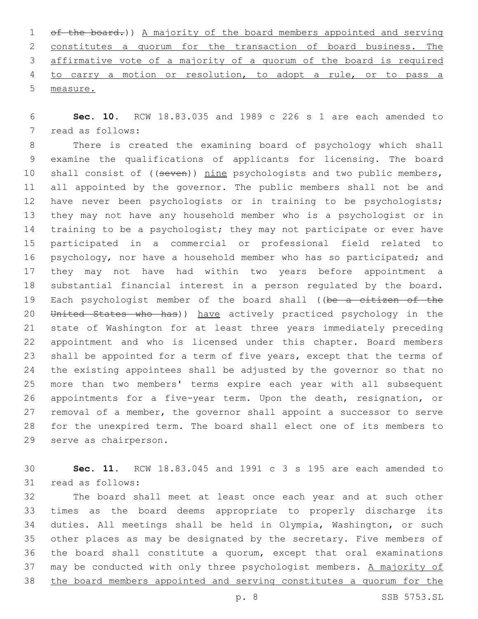of the board.)) A majority of the board members appointed and serving constitutes a quorum for the transaction of board business. The affirmative vote of a majority of a quorum of the board is required to carry a motion or resolution, to adopt a rule, or to pass a measure.

 **Sec. 10.** RCW 18.83.035 and 1989 c 226 s 1 are each amended to 7 read as follows:

 There is created the examining board of psychology which shall examine the qualifications of applicants for licensing. The board 10 shall consist of ((seven)) nine psychologists and two public members, 11 all appointed by the governor. The public members shall not be and have never been psychologists or in training to be psychologists; they may not have any household member who is a psychologist or in 14 training to be a psychologist; they may not participate or ever have participated in a commercial or professional field related to psychology, nor have a household member who has so participated; and they may not have had within two years before appointment a substantial financial interest in a person regulated by the board. 19 Each psychologist member of the board shall ((be a citizen of the 20 United States who has)) have actively practiced psychology in the state of Washington for at least three years immediately preceding appointment and who is licensed under this chapter. Board members shall be appointed for a term of five years, except that the terms of the existing appointees shall be adjusted by the governor so that no more than two members' terms expire each year with all subsequent appointments for a five-year term. Upon the death, resignation, or removal of a member, the governor shall appoint a successor to serve for the unexpired term. The board shall elect one of its members to 29 serve as chairperson.

 **Sec. 11.** RCW 18.83.045 and 1991 c 3 s 195 are each amended to 31 read as follows:

 The board shall meet at least once each year and at such other times as the board deems appropriate to properly discharge its duties. All meetings shall be held in Olympia, Washington, or such other places as may be designated by the secretary. Five members of the board shall constitute a quorum, except that oral examinations 37 may be conducted with only three psychologist members. A majority of the board members appointed and serving constitutes a quorum for the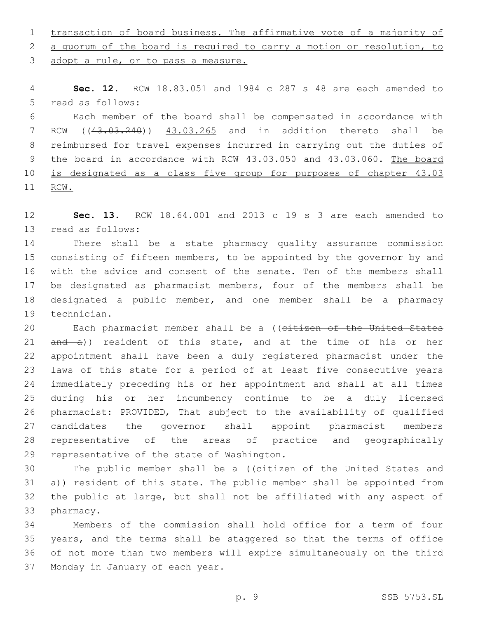transaction of board business. The affirmative vote of a majority of

2 a quorum of the board is required to carry a motion or resolution, to

3 adopt a rule, or to pass a measure.

 **Sec. 12.** RCW 18.83.051 and 1984 c 287 s 48 are each amended to 5 read as follows:

 Each member of the board shall be compensated in accordance with RCW ((43.03.240)) 43.03.265 and in addition thereto shall be reimbursed for travel expenses incurred in carrying out the duties of 9 the board in accordance with RCW 43.03.050 and 43.03.060. The board is designated as a class five group for purposes of chapter 43.03 RCW.

 **Sec. 13.** RCW 18.64.001 and 2013 c 19 s 3 are each amended to 13 read as follows:

 There shall be a state pharmacy quality assurance commission consisting of fifteen members, to be appointed by the governor by and with the advice and consent of the senate. Ten of the members shall be designated as pharmacist members, four of the members shall be designated a public member, and one member shall be a pharmacy 19 technician.

20 Each pharmacist member shall be a ((citizen of the United States 21 and a)) resident of this state, and at the time of his or her appointment shall have been a duly registered pharmacist under the laws of this state for a period of at least five consecutive years immediately preceding his or her appointment and shall at all times during his or her incumbency continue to be a duly licensed pharmacist: PROVIDED, That subject to the availability of qualified candidates the governor shall appoint pharmacist members representative of the areas of practice and geographically 29 representative of the state of Washington.

30 The public member shall be a ((eitizen of the United States and a)) resident of this state. The public member shall be appointed from the public at large, but shall not be affiliated with any aspect of 33 pharmacy.

 Members of the commission shall hold office for a term of four years, and the terms shall be staggered so that the terms of office of not more than two members will expire simultaneously on the third 37 Monday in January of each year.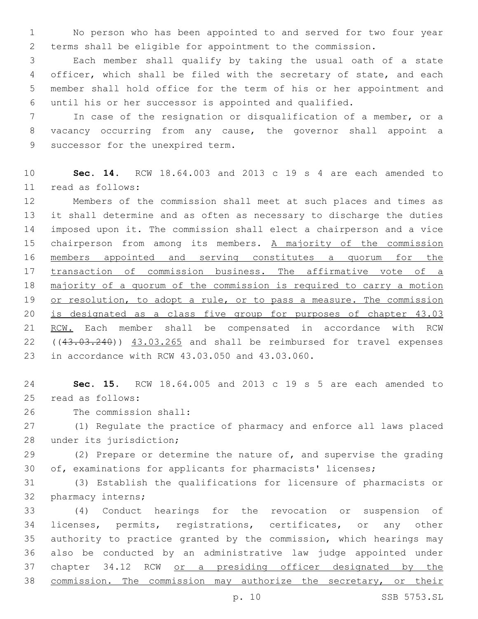No person who has been appointed to and served for two four year terms shall be eligible for appointment to the commission.

 Each member shall qualify by taking the usual oath of a state officer, which shall be filed with the secretary of state, and each member shall hold office for the term of his or her appointment and until his or her successor is appointed and qualified.

 In case of the resignation or disqualification of a member, or a vacancy occurring from any cause, the governor shall appoint a 9 successor for the unexpired term.

 **Sec. 14.** RCW 18.64.003 and 2013 c 19 s 4 are each amended to read as follows:11

 Members of the commission shall meet at such places and times as it shall determine and as often as necessary to discharge the duties imposed upon it. The commission shall elect a chairperson and a vice 15 chairperson from among its members. A majority of the commission members appointed and serving constitutes a quorum for the 17 transaction of commission business. The affirmative vote of a majority of a quorum of the commission is required to carry a motion 19 or resolution, to adopt a rule, or to pass a measure. The commission is designated as a class five group for purposes of chapter 43.03 RCW. Each member shall be compensated in accordance with RCW 22 ((43.03.240)) 43.03.265 and shall be reimbursed for travel expenses 23 in accordance with RCW 43.03.050 and 43.03.060.

 **Sec. 15.** RCW 18.64.005 and 2013 c 19 s 5 are each amended to 25 read as follows:

26 The commission shall:

 (1) Regulate the practice of pharmacy and enforce all laws placed 28 under its jurisdiction;

 (2) Prepare or determine the nature of, and supervise the grading of, examinations for applicants for pharmacists' licenses;

 (3) Establish the qualifications for licensure of pharmacists or 32 pharmacy interns;

 (4) Conduct hearings for the revocation or suspension of licenses, permits, registrations, certificates, or any other authority to practice granted by the commission, which hearings may also be conducted by an administrative law judge appointed under 37 chapter 34.12 RCW or a presiding officer designated by the commission. The commission may authorize the secretary, or their

p. 10 SSB 5753.SL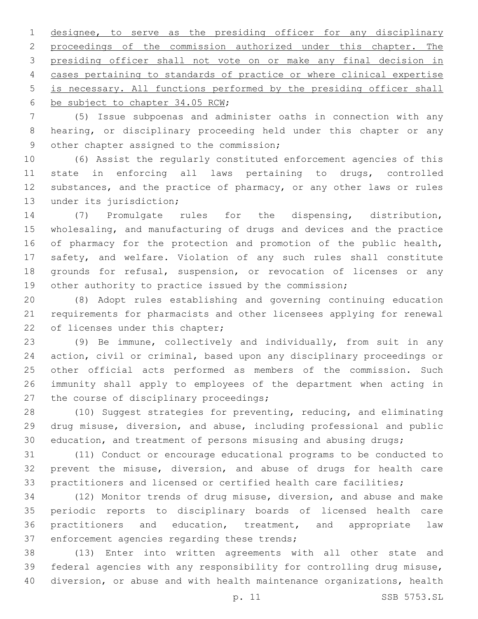designee, to serve as the presiding officer for any disciplinary proceedings of the commission authorized under this chapter. The presiding officer shall not vote on or make any final decision in 4 cases pertaining to standards of practice or where clinical expertise is necessary. All functions performed by the presiding officer shall 6 be subject to chapter 34.05 RCW;

 (5) Issue subpoenas and administer oaths in connection with any hearing, or disciplinary proceeding held under this chapter or any 9 other chapter assigned to the commission;

 (6) Assist the regularly constituted enforcement agencies of this state in enforcing all laws pertaining to drugs, controlled 12 substances, and the practice of pharmacy, or any other laws or rules 13 under its jurisdiction;

 (7) Promulgate rules for the dispensing, distribution, wholesaling, and manufacturing of drugs and devices and the practice 16 of pharmacy for the protection and promotion of the public health, safety, and welfare. Violation of any such rules shall constitute 18 grounds for refusal, suspension, or revocation of licenses or any other authority to practice issued by the commission;

 (8) Adopt rules establishing and governing continuing education requirements for pharmacists and other licensees applying for renewal 22 of licenses under this chapter;

 (9) Be immune, collectively and individually, from suit in any action, civil or criminal, based upon any disciplinary proceedings or other official acts performed as members of the commission. Such immunity shall apply to employees of the department when acting in 27 the course of disciplinary proceedings;

 (10) Suggest strategies for preventing, reducing, and eliminating drug misuse, diversion, and abuse, including professional and public education, and treatment of persons misusing and abusing drugs;

 (11) Conduct or encourage educational programs to be conducted to prevent the misuse, diversion, and abuse of drugs for health care 33 practitioners and licensed or certified health care facilities;

 (12) Monitor trends of drug misuse, diversion, and abuse and make periodic reports to disciplinary boards of licensed health care practitioners and education, treatment, and appropriate law 37 enforcement agencies regarding these trends;

 (13) Enter into written agreements with all other state and federal agencies with any responsibility for controlling drug misuse, diversion, or abuse and with health maintenance organizations, health

p. 11 SSB 5753.SL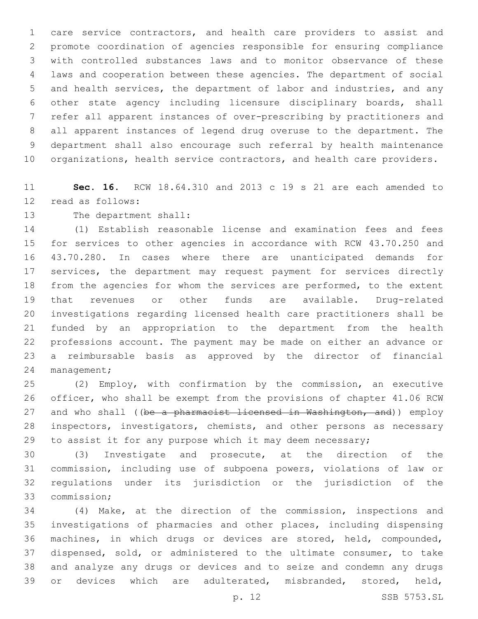care service contractors, and health care providers to assist and promote coordination of agencies responsible for ensuring compliance with controlled substances laws and to monitor observance of these laws and cooperation between these agencies. The department of social and health services, the department of labor and industries, and any other state agency including licensure disciplinary boards, shall refer all apparent instances of over-prescribing by practitioners and all apparent instances of legend drug overuse to the department. The department shall also encourage such referral by health maintenance organizations, health service contractors, and health care providers.

 **Sec. 16.** RCW 18.64.310 and 2013 c 19 s 21 are each amended to 12 read as follows:

13 The department shall:

 (1) Establish reasonable license and examination fees and fees for services to other agencies in accordance with RCW 43.70.250 and 43.70.280. In cases where there are unanticipated demands for 17 services, the department may request payment for services directly from the agencies for whom the services are performed, to the extent that revenues or other funds are available. Drug-related investigations regarding licensed health care practitioners shall be funded by an appropriation to the department from the health professions account. The payment may be made on either an advance or a reimbursable basis as approved by the director of financial 24 management;

 (2) Employ, with confirmation by the commission, an executive officer, who shall be exempt from the provisions of chapter 41.06 RCW 27 and who shall ((be a pharmacist licensed in Washington, and)) employ inspectors, investigators, chemists, and other persons as necessary 29 to assist it for any purpose which it may deem necessary;

 (3) Investigate and prosecute, at the direction of the commission, including use of subpoena powers, violations of law or regulations under its jurisdiction or the jurisdiction of the 33 commission:

 (4) Make, at the direction of the commission, inspections and investigations of pharmacies and other places, including dispensing machines, in which drugs or devices are stored, held, compounded, dispensed, sold, or administered to the ultimate consumer, to take and analyze any drugs or devices and to seize and condemn any drugs or devices which are adulterated, misbranded, stored, held,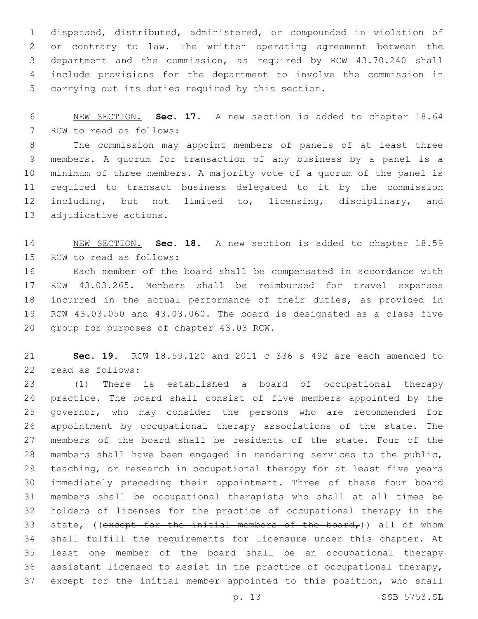dispensed, distributed, administered, or compounded in violation of or contrary to law. The written operating agreement between the department and the commission, as required by RCW 43.70.240 shall include provisions for the department to involve the commission in 5 carrying out its duties required by this section.

 NEW SECTION. **Sec. 17.** A new section is added to chapter 18.64 7 RCW to read as follows:

 The commission may appoint members of panels of at least three members. A quorum for transaction of any business by a panel is a minimum of three members. A majority vote of a quorum of the panel is required to transact business delegated to it by the commission 12 including, but not limited to, licensing, disciplinary, and 13 adjudicative actions.

 NEW SECTION. **Sec. 18.** A new section is added to chapter 18.59 15 RCW to read as follows:

 Each member of the board shall be compensated in accordance with RCW 43.03.265. Members shall be reimbursed for travel expenses incurred in the actual performance of their duties, as provided in RCW 43.03.050 and 43.03.060. The board is designated as a class five 20 group for purposes of chapter 43.03 RCW.

 **Sec. 19.** RCW 18.59.120 and 2011 c 336 s 492 are each amended to 22 read as follows:

 (1) There is established a board of occupational therapy practice. The board shall consist of five members appointed by the governor, who may consider the persons who are recommended for appointment by occupational therapy associations of the state. The members of the board shall be residents of the state. Four of the members shall have been engaged in rendering services to the public, teaching, or research in occupational therapy for at least five years immediately preceding their appointment. Three of these four board members shall be occupational therapists who shall at all times be holders of licenses for the practice of occupational therapy in the 33 state, ((except for the initial members of the board,)) all of whom shall fulfill the requirements for licensure under this chapter. At least one member of the board shall be an occupational therapy assistant licensed to assist in the practice of occupational therapy, except for the initial member appointed to this position, who shall

p. 13 SSB 5753.SL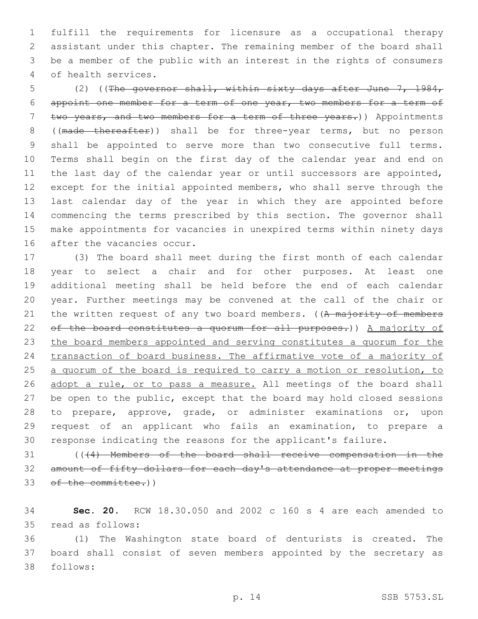fulfill the requirements for licensure as a occupational therapy assistant under this chapter. The remaining member of the board shall be a member of the public with an interest in the rights of consumers of health services.4

 (2) ((The governor shall, within sixty days after June 7, 1984, appoint one member for a term of one year, two members for a term of 7 two years, and two members for a term of three years.)) Appointments ((made thereafter)) shall be for three-year terms, but no person shall be appointed to serve more than two consecutive full terms. Terms shall begin on the first day of the calendar year and end on the last day of the calendar year or until successors are appointed, except for the initial appointed members, who shall serve through the last calendar day of the year in which they are appointed before commencing the terms prescribed by this section. The governor shall make appointments for vacancies in unexpired terms within ninety days 16 after the vacancies occur.

 (3) The board shall meet during the first month of each calendar year to select a chair and for other purposes. At least one additional meeting shall be held before the end of each calendar year. Further meetings may be convened at the call of the chair or 21 the written request of any two board members. ((A majority of members of the board constitutes a quorum for all purposes.)) A majority of the board members appointed and serving constitutes a quorum for the transaction of board business. The affirmative vote of a majority of 25 a quorum of the board is required to carry a motion or resolution, to 26 adopt a rule, or to pass a measure. All meetings of the board shall be open to the public, except that the board may hold closed sessions to prepare, approve, grade, or administer examinations or, upon request of an applicant who fails an examination, to prepare a response indicating the reasons for the applicant's failure.

 (((4) Members of the board shall receive compensation in the amount of fifty dollars for each day's attendance at proper meetings 33 of the committee.))

 **Sec. 20.** RCW 18.30.050 and 2002 c 160 s 4 are each amended to 35 read as follows:

 (1) The Washington state board of denturists is created. The board shall consist of seven members appointed by the secretary as 38 follows: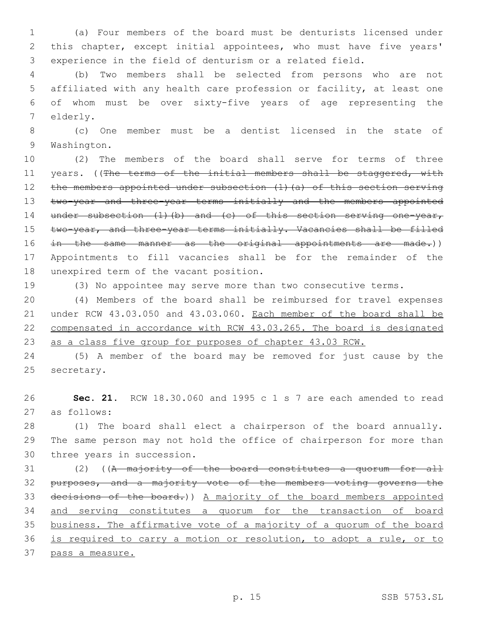(a) Four members of the board must be denturists licensed under this chapter, except initial appointees, who must have five years' experience in the field of denturism or a related field.

 (b) Two members shall be selected from persons who are not affiliated with any health care profession or facility, at least one of whom must be over sixty-five years of age representing the 7 elderly.

 (c) One member must be a dentist licensed in the state of 9 Washington.

 (2) The members of the board shall serve for terms of three 11 years. ((The terms of the initial members shall be staggered, with the members appointed under subsection (1)(a) of this section serving 13 two-year and three-year terms initially and the members appointed 14 under subsection (1)(b) and (c) of this section serving one-year, 15 two-year, and three-year terms initially. Vacancies shall be filled 16 in the same manner as the original appointments are made.)) Appointments to fill vacancies shall be for the remainder of the 18 unexpired term of the vacant position.

(3) No appointee may serve more than two consecutive terms.

 (4) Members of the board shall be reimbursed for travel expenses under RCW 43.03.050 and 43.03.060. Each member of the board shall be compensated in accordance with RCW 43.03.265. The board is designated as a class five group for purposes of chapter 43.03 RCW.

 (5) A member of the board may be removed for just cause by the 25 secretary.

 **Sec. 21.** RCW 18.30.060 and 1995 c 1 s 7 are each amended to read as follows:27

 (1) The board shall elect a chairperson of the board annually. The same person may not hold the office of chairperson for more than 30 three years in succession.

 (2) ((A majority of the board constitutes a quorum for all purposes, and a majority vote of the members voting governs the decisions of the board.)) A majority of the board members appointed 34 and serving constitutes a quorum for the transaction of board business. The affirmative vote of a majority of a quorum of the board is required to carry a motion or resolution, to adopt a rule, or to pass a measure.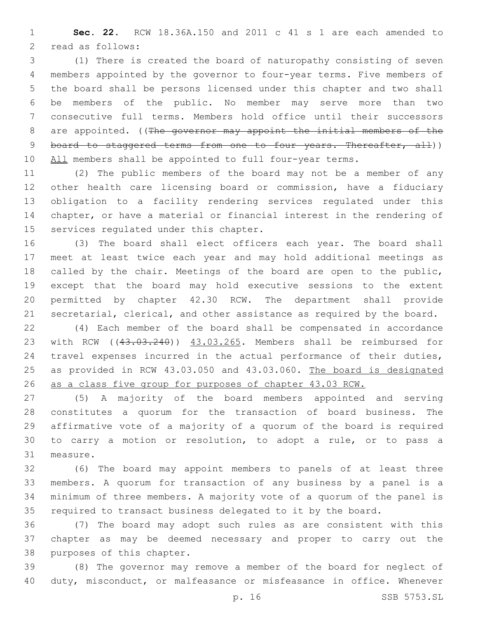**Sec. 22.** RCW 18.36A.150 and 2011 c 41 s 1 are each amended to 2 read as follows:

 (1) There is created the board of naturopathy consisting of seven members appointed by the governor to four-year terms. Five members of the board shall be persons licensed under this chapter and two shall be members of the public. No member may serve more than two consecutive full terms. Members hold office until their successors 8 are appointed. ((The governor may appoint the initial members of the 9 board to staggered terms from one to four years. Thereafter, all)) 10 All members shall be appointed to full four-year terms.

 (2) The public members of the board may not be a member of any other health care licensing board or commission, have a fiduciary obligation to a facility rendering services regulated under this chapter, or have a material or financial interest in the rendering of 15 services regulated under this chapter.

 (3) The board shall elect officers each year. The board shall meet at least twice each year and may hold additional meetings as called by the chair. Meetings of the board are open to the public, except that the board may hold executive sessions to the extent permitted by chapter 42.30 RCW. The department shall provide secretarial, clerical, and other assistance as required by the board.

 (4) Each member of the board shall be compensated in accordance 23 with RCW ((43.03.240)) 43.03.265. Members shall be reimbursed for travel expenses incurred in the actual performance of their duties, 25 as provided in RCW 43.03.050 and 43.03.060. The board is designated as a class five group for purposes of chapter 43.03 RCW.

 (5) A majority of the board members appointed and serving constitutes a quorum for the transaction of board business. The affirmative vote of a majority of a quorum of the board is required to carry a motion or resolution, to adopt a rule, or to pass a 31 measure.

 (6) The board may appoint members to panels of at least three members. A quorum for transaction of any business by a panel is a minimum of three members. A majority vote of a quorum of the panel is required to transact business delegated to it by the board.

 (7) The board may adopt such rules as are consistent with this chapter as may be deemed necessary and proper to carry out the 38 purposes of this chapter.

 (8) The governor may remove a member of the board for neglect of duty, misconduct, or malfeasance or misfeasance in office. Whenever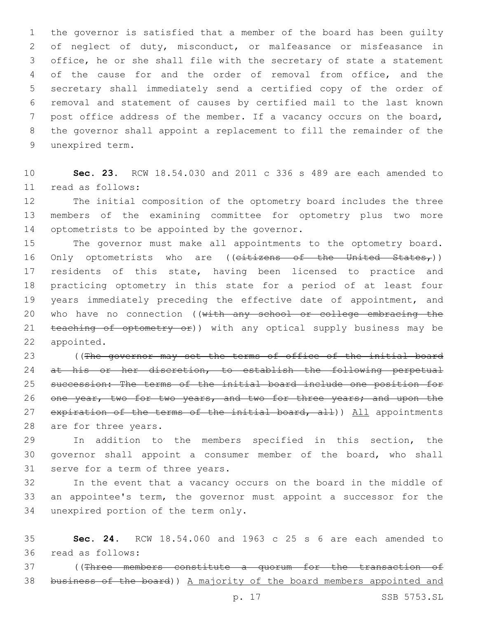the governor is satisfied that a member of the board has been guilty of neglect of duty, misconduct, or malfeasance or misfeasance in office, he or she shall file with the secretary of state a statement of the cause for and the order of removal from office, and the secretary shall immediately send a certified copy of the order of removal and statement of causes by certified mail to the last known post office address of the member. If a vacancy occurs on the board, the governor shall appoint a replacement to fill the remainder of the 9 unexpired term.

10 **Sec. 23.** RCW 18.54.030 and 2011 c 336 s 489 are each amended to read as follows:11

12 The initial composition of the optometry board includes the three 13 members of the examining committee for optometry plus two more 14 optometrists to be appointed by the governor.

15 The governor must make all appointments to the optometry board. 16 Only optometrists who are ((citizens of the United States,)) 17 residents of this state, having been licensed to practice and 18 practicing optometry in this state for a period of at least four 19 years immediately preceding the effective date of appointment, and 20 who have no connection ((with any school or college embracing the 21 teaching of optometry or)) with any optical supply business may be 22 appointed.

23 ((The governor may set the terms of office of the initial board 24 at his or her discretion, to establish the following perpetual 25 succession: The terms of the initial board include one position for 26 one year, two for two years, and two for three years; and upon the 27 expiration of the terms of the initial board, all)) All appointments 28 are for three years.

29 In addition to the members specified in this section, the 30 governor shall appoint a consumer member of the board, who shall 31 serve for a term of three years.

32 In the event that a vacancy occurs on the board in the middle of 33 an appointee's term, the governor must appoint a successor for the 34 unexpired portion of the term only.

35 **Sec. 24.** RCW 18.54.060 and 1963 c 25 s 6 are each amended to read as follows:36

37 ((Three members constitute a quorum for the transaction of 38 business of the board)) A majority of the board members appointed and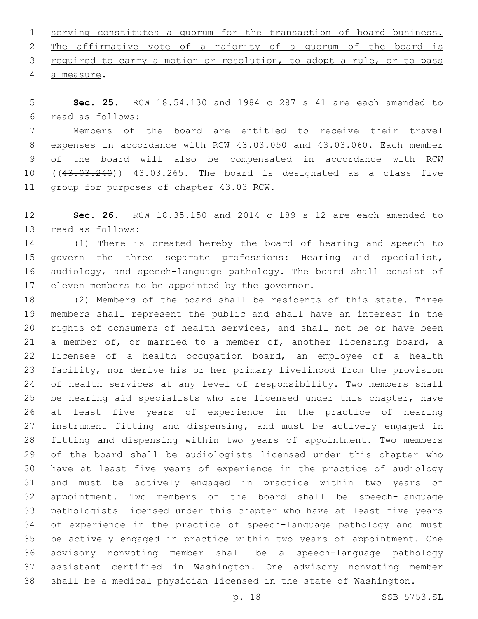serving constitutes a quorum for the transaction of board business. The affirmative vote of a majority of a quorum of the board is required to carry a motion or resolution, to adopt a rule, or to pass 4 a measure.

 **Sec. 25.** RCW 18.54.130 and 1984 c 287 s 41 are each amended to read as follows:6

 Members of the board are entitled to receive their travel expenses in accordance with RCW 43.03.050 and 43.03.060. Each member of the board will also be compensated in accordance with RCW 10 ((43.03.240)) 43.03.265. The board is designated as a class five 11 group for purposes of chapter 43.03 RCW.

 **Sec. 26.** RCW 18.35.150 and 2014 c 189 s 12 are each amended to 13 read as follows:

 (1) There is created hereby the board of hearing and speech to govern the three separate professions: Hearing aid specialist, audiology, and speech-language pathology. The board shall consist of 17 eleven members to be appointed by the governor.

 (2) Members of the board shall be residents of this state. Three members shall represent the public and shall have an interest in the rights of consumers of health services, and shall not be or have been a member of, or married to a member of, another licensing board, a licensee of a health occupation board, an employee of a health facility, nor derive his or her primary livelihood from the provision of health services at any level of responsibility. Two members shall be hearing aid specialists who are licensed under this chapter, have at least five years of experience in the practice of hearing instrument fitting and dispensing, and must be actively engaged in fitting and dispensing within two years of appointment. Two members of the board shall be audiologists licensed under this chapter who have at least five years of experience in the practice of audiology and must be actively engaged in practice within two years of appointment. Two members of the board shall be speech-language pathologists licensed under this chapter who have at least five years of experience in the practice of speech-language pathology and must be actively engaged in practice within two years of appointment. One advisory nonvoting member shall be a speech-language pathology assistant certified in Washington. One advisory nonvoting member shall be a medical physician licensed in the state of Washington.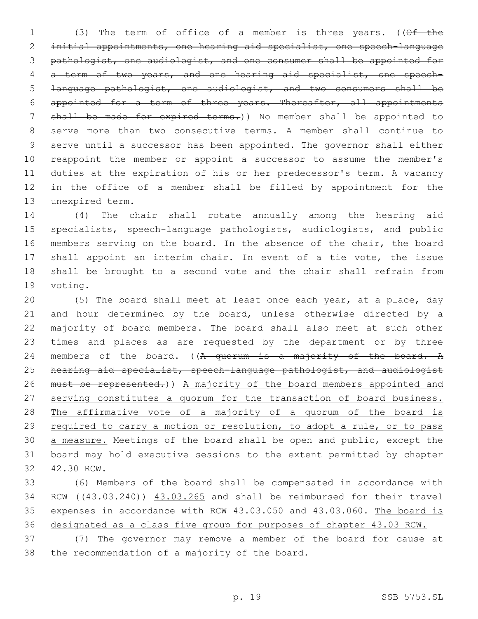1 (3) The term of office of a member is three years. ((Of the initial appointments, one hearing aid specialist, one speech-language pathologist, one audiologist, and one consumer shall be appointed for a term of two years, and one hearing aid specialist, one speech- language pathologist, one audiologist, and two consumers shall be appointed for a term of three years. Thereafter, all appointments shall be made for expired terms.)) No member shall be appointed to serve more than two consecutive terms. A member shall continue to serve until a successor has been appointed. The governor shall either reappoint the member or appoint a successor to assume the member's duties at the expiration of his or her predecessor's term. A vacancy in the office of a member shall be filled by appointment for the 13 unexpired term.

 (4) The chair shall rotate annually among the hearing aid specialists, speech-language pathologists, audiologists, and public members serving on the board. In the absence of the chair, the board shall appoint an interim chair. In event of a tie vote, the issue shall be brought to a second vote and the chair shall refrain from 19 voting.

 (5) The board shall meet at least once each year, at a place, day 21 and hour determined by the board, unless otherwise directed by a majority of board members. The board shall also meet at such other times and places as are requested by the department or by three 24 members of the board. ((A quorum is a majority of the board. A hearing aid specialist, speech-language pathologist, and audiologist 26 must be represented.) A majority of the board members appointed and serving constitutes a quorum for the transaction of board business. 28 The affirmative vote of a majority of a quorum of the board is required to carry a motion or resolution, to adopt a rule, or to pass a measure. Meetings of the board shall be open and public, except the board may hold executive sessions to the extent permitted by chapter 32 42.30 RCW.

 (6) Members of the board shall be compensated in accordance with 34 RCW ((43.03.240)) 43.03.265 and shall be reimbursed for their travel expenses in accordance with RCW 43.03.050 and 43.03.060. The board is designated as a class five group for purposes of chapter 43.03 RCW.

 (7) The governor may remove a member of the board for cause at 38 the recommendation of a majority of the board.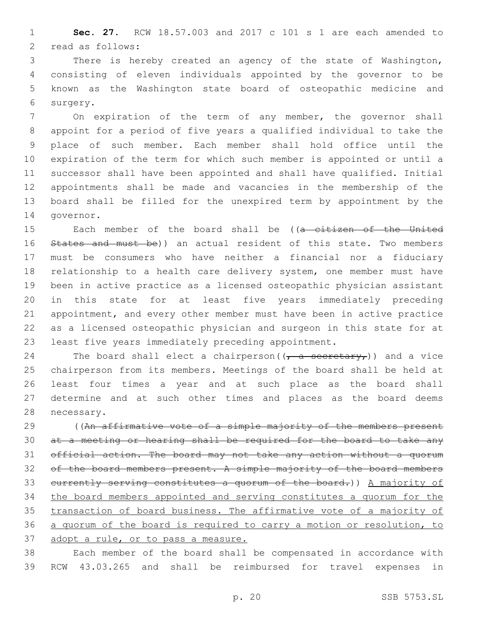**Sec. 27.** RCW 18.57.003 and 2017 c 101 s 1 are each amended to 2 read as follows:

 There is hereby created an agency of the state of Washington, consisting of eleven individuals appointed by the governor to be known as the Washington state board of osteopathic medicine and 6 surgery.

 On expiration of the term of any member, the governor shall appoint for a period of five years a qualified individual to take the place of such member. Each member shall hold office until the expiration of the term for which such member is appointed or until a successor shall have been appointed and shall have qualified. Initial appointments shall be made and vacancies in the membership of the board shall be filled for the unexpired term by appointment by the 14 governor.

15 Each member of the board shall be ((a citizen of the United 16 States and must be)) an actual resident of this state. Two members must be consumers who have neither a financial nor a fiduciary relationship to a health care delivery system, one member must have been in active practice as a licensed osteopathic physician assistant in this state for at least five years immediately preceding appointment, and every other member must have been in active practice as a licensed osteopathic physician and surgeon in this state for at least five years immediately preceding appointment.

24 The board shall elect a chairperson( $(\tau$  a secretary,)) and a vice chairperson from its members. Meetings of the board shall be held at least four times a year and at such place as the board shall determine and at such other times and places as the board deems 28 necessary.

29 ((An affirmative vote of a simple majority of the members present at a meeting or hearing shall be required for the board to take any official action. The board may not take any action without a quorum 32 of the board members present. A simple majority of the board members currently serving constitutes a quorum of the board.)) A majority of the board members appointed and serving constitutes a quorum for the transaction of board business. The affirmative vote of a majority of a quorum of the board is required to carry a motion or resolution, to adopt a rule, or to pass a measure.

 Each member of the board shall be compensated in accordance with RCW 43.03.265 and shall be reimbursed for travel expenses in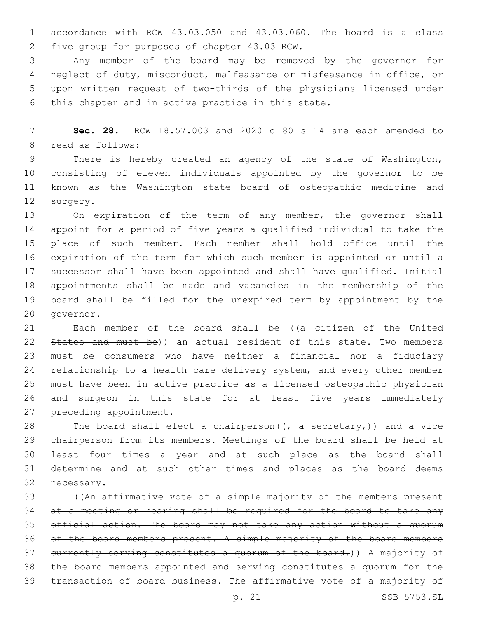accordance with RCW 43.03.050 and 43.03.060. The board is a class five group for purposes of chapter 43.03 RCW.2

 Any member of the board may be removed by the governor for neglect of duty, misconduct, malfeasance or misfeasance in office, or upon written request of two-thirds of the physicians licensed under 6 this chapter and in active practice in this state.

 **Sec. 28.** RCW 18.57.003 and 2020 c 80 s 14 are each amended to 8 read as follows:

 There is hereby created an agency of the state of Washington, consisting of eleven individuals appointed by the governor to be known as the Washington state board of osteopathic medicine and 12 surgery.

13 On expiration of the term of any member, the governor shall appoint for a period of five years a qualified individual to take the place of such member. Each member shall hold office until the expiration of the term for which such member is appointed or until a successor shall have been appointed and shall have qualified. Initial appointments shall be made and vacancies in the membership of the board shall be filled for the unexpired term by appointment by the 20 qovernor.

21 Each member of the board shall be ((a citizen of the United 22 States and must be)) an actual resident of this state. Two members must be consumers who have neither a financial nor a fiduciary 24 relationship to a health care delivery system, and every other member must have been in active practice as a licensed osteopathic physician and surgeon in this state for at least five years immediately 27 preceding appointment.

28 The board shall elect a chairperson( $(\tau_a$  secretary,)) and a vice chairperson from its members. Meetings of the board shall be held at least four times a year and at such place as the board shall determine and at such other times and places as the board deems 32 necessary.

 ((An affirmative vote of a simple majority of the members present 34 at a meeting or hearing shall be required for the board to take any official action. The board may not take any action without a quorum of the board members present. A simple majority of the board members 37 eurrently serving constitutes a quorum of the board.)) A majority of the board members appointed and serving constitutes a quorum for the transaction of board business. The affirmative vote of a majority of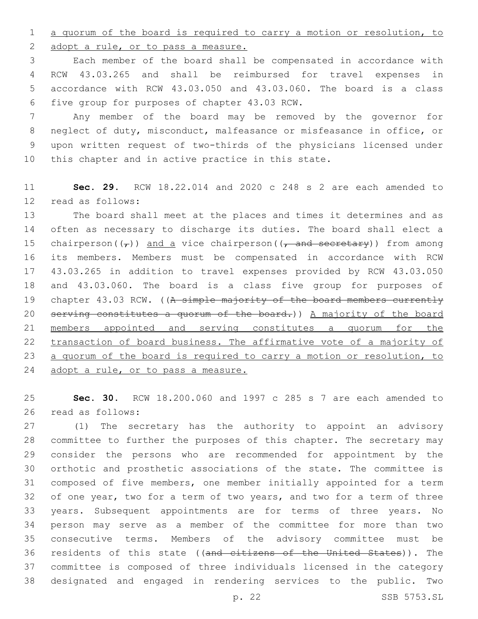a quorum of the board is required to carry a motion or resolution, to

2 adopt a rule, or to pass a measure.

 Each member of the board shall be compensated in accordance with RCW 43.03.265 and shall be reimbursed for travel expenses in accordance with RCW 43.03.050 and 43.03.060. The board is a class five group for purposes of chapter 43.03 RCW.6

 Any member of the board may be removed by the governor for neglect of duty, misconduct, malfeasance or misfeasance in office, or upon written request of two-thirds of the physicians licensed under this chapter and in active practice in this state.

 **Sec. 29.** RCW 18.22.014 and 2020 c 248 s 2 are each amended to 12 read as follows:

 The board shall meet at the places and times it determines and as often as necessary to discharge its duties. The board shall elect a 15 chairperson( $(\tau)$ ) and a vice chairperson( $(\tau)$  and secretary)) from among its members. Members must be compensated in accordance with RCW 43.03.265 in addition to travel expenses provided by RCW 43.03.050 and 43.03.060. The board is a class five group for purposes of 19 chapter 43.03 RCW. ((A simple majority of the board members currently 20 serving constitutes a quorum of the board.)) A majority of the board members appointed and serving constitutes a quorum for the transaction of board business. The affirmative vote of a majority of 23 a quorum of the board is required to carry a motion or resolution, to adopt a rule, or to pass a measure.

 **Sec. 30.** RCW 18.200.060 and 1997 c 285 s 7 are each amended to 26 read as follows:

 (1) The secretary has the authority to appoint an advisory committee to further the purposes of this chapter. The secretary may consider the persons who are recommended for appointment by the orthotic and prosthetic associations of the state. The committee is composed of five members, one member initially appointed for a term of one year, two for a term of two years, and two for a term of three years. Subsequent appointments are for terms of three years. No person may serve as a member of the committee for more than two consecutive terms. Members of the advisory committee must be 36 residents of this state ((and citizens of the United States)). The committee is composed of three individuals licensed in the category designated and engaged in rendering services to the public. Two

p. 22 SSB 5753.SL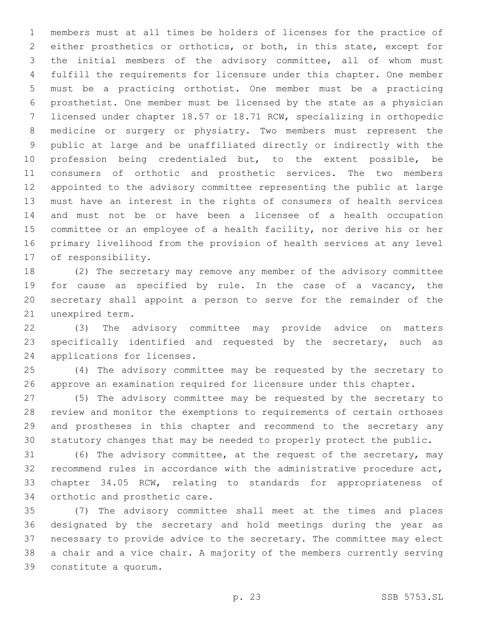members must at all times be holders of licenses for the practice of either prosthetics or orthotics, or both, in this state, except for the initial members of the advisory committee, all of whom must fulfill the requirements for licensure under this chapter. One member must be a practicing orthotist. One member must be a practicing prosthetist. One member must be licensed by the state as a physician licensed under chapter 18.57 or 18.71 RCW, specializing in orthopedic medicine or surgery or physiatry. Two members must represent the public at large and be unaffiliated directly or indirectly with the profession being credentialed but, to the extent possible, be consumers of orthotic and prosthetic services. The two members appointed to the advisory committee representing the public at large must have an interest in the rights of consumers of health services and must not be or have been a licensee of a health occupation committee or an employee of a health facility, nor derive his or her primary livelihood from the provision of health services at any level 17 of responsibility.

 (2) The secretary may remove any member of the advisory committee for cause as specified by rule. In the case of a vacancy, the secretary shall appoint a person to serve for the remainder of the 21 unexpired term.

 (3) The advisory committee may provide advice on matters specifically identified and requested by the secretary, such as 24 applications for licenses.

 (4) The advisory committee may be requested by the secretary to approve an examination required for licensure under this chapter.

 (5) The advisory committee may be requested by the secretary to review and monitor the exemptions to requirements of certain orthoses and prostheses in this chapter and recommend to the secretary any statutory changes that may be needed to properly protect the public.

 (6) The advisory committee, at the request of the secretary, may recommend rules in accordance with the administrative procedure act, chapter 34.05 RCW, relating to standards for appropriateness of 34 orthotic and prosthetic care.

 (7) The advisory committee shall meet at the times and places designated by the secretary and hold meetings during the year as necessary to provide advice to the secretary. The committee may elect a chair and a vice chair. A majority of the members currently serving constitute a quorum.39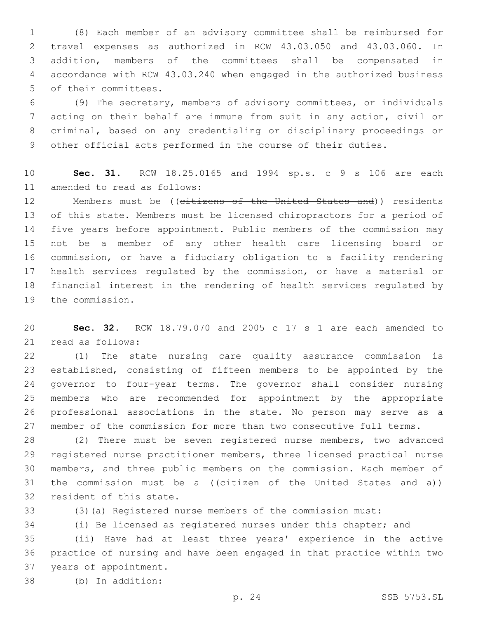(8) Each member of an advisory committee shall be reimbursed for travel expenses as authorized in RCW 43.03.050 and 43.03.060. In addition, members of the committees shall be compensated in accordance with RCW 43.03.240 when engaged in the authorized business 5 of their committees.

 (9) The secretary, members of advisory committees, or individuals acting on their behalf are immune from suit in any action, civil or criminal, based on any credentialing or disciplinary proceedings or other official acts performed in the course of their duties.

 **Sec. 31.** RCW 18.25.0165 and 1994 sp.s. c 9 s 106 are each 11 amended to read as follows:

12 Members must be ((citizens of the United States and)) residents of this state. Members must be licensed chiropractors for a period of five years before appointment. Public members of the commission may not be a member of any other health care licensing board or commission, or have a fiduciary obligation to a facility rendering health services regulated by the commission, or have a material or financial interest in the rendering of health services regulated by 19 the commission.

 **Sec. 32.** RCW 18.79.070 and 2005 c 17 s 1 are each amended to 21 read as follows:

 (1) The state nursing care quality assurance commission is established, consisting of fifteen members to be appointed by the governor to four-year terms. The governor shall consider nursing members who are recommended for appointment by the appropriate professional associations in the state. No person may serve as a member of the commission for more than two consecutive full terms.

 (2) There must be seven registered nurse members, two advanced registered nurse practitioner members, three licensed practical nurse members, and three public members on the commission. Each member of 31 the commission must be a  $(($ citizen of the United States and a $))$ 32 resident of this state.

(3)(a) Registered nurse members of the commission must:

(i) Be licensed as registered nurses under this chapter; and

 (ii) Have had at least three years' experience in the active practice of nursing and have been engaged in that practice within two 37 years of appointment.

(b) In addition:38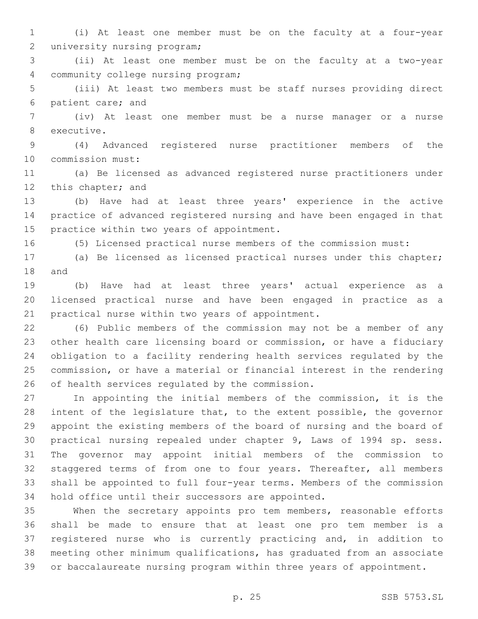(i) At least one member must be on the faculty at a four-year 2 university nursing program;

 (ii) At least one member must be on the faculty at a two-year 4 community college nursing program;

 (iii) At least two members must be staff nurses providing direct 6 patient care; and

 (iv) At least one member must be a nurse manager or a nurse 8 executive.

 (4) Advanced registered nurse practitioner members of the 10 commission must:

 (a) Be licensed as advanced registered nurse practitioners under 12 this chapter; and

 (b) Have had at least three years' experience in the active practice of advanced registered nursing and have been engaged in that 15 practice within two years of appointment.

(5) Licensed practical nurse members of the commission must:

 (a) Be licensed as licensed practical nurses under this chapter; 18 and

 (b) Have had at least three years' actual experience as a licensed practical nurse and have been engaged in practice as a 21 practical nurse within two years of appointment.

 (6) Public members of the commission may not be a member of any other health care licensing board or commission, or have a fiduciary obligation to a facility rendering health services regulated by the commission, or have a material or financial interest in the rendering 26 of health services regulated by the commission.

 In appointing the initial members of the commission, it is the intent of the legislature that, to the extent possible, the governor appoint the existing members of the board of nursing and the board of practical nursing repealed under chapter 9, Laws of 1994 sp. sess. The governor may appoint initial members of the commission to 32 staggered terms of from one to four years. Thereafter, all members shall be appointed to full four-year terms. Members of the commission 34 hold office until their successors are appointed.

 When the secretary appoints pro tem members, reasonable efforts shall be made to ensure that at least one pro tem member is a registered nurse who is currently practicing and, in addition to meeting other minimum qualifications, has graduated from an associate or baccalaureate nursing program within three years of appointment.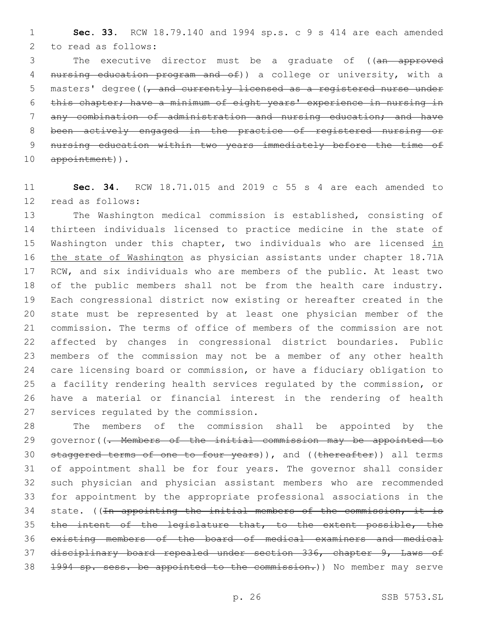**Sec. 33.** RCW 18.79.140 and 1994 sp.s. c 9 s 414 are each amended 2 to read as follows:

3 The executive director must be a graduate of ((an approved 4 nursing education program and of)) a college or university, with a 5 masters' degree( $\sqrt{$  and currently licensed as a registered nurse under this chapter; have a minimum of eight years' experience in nursing in any combination of administration and nursing education; and have been actively engaged in the practice of registered nursing or nursing education within two years immediately before the time of 10 appointment)).

 **Sec. 34.** RCW 18.71.015 and 2019 c 55 s 4 are each amended to 12 read as follows:

 The Washington medical commission is established, consisting of thirteen individuals licensed to practice medicine in the state of 15 Washington under this chapter, two individuals who are licensed in the state of Washington as physician assistants under chapter 18.71A RCW, and six individuals who are members of the public. At least two of the public members shall not be from the health care industry. Each congressional district now existing or hereafter created in the state must be represented by at least one physician member of the commission. The terms of office of members of the commission are not affected by changes in congressional district boundaries. Public members of the commission may not be a member of any other health care licensing board or commission, or have a fiduciary obligation to a facility rendering health services regulated by the commission, or have a material or financial interest in the rendering of health 27 services regulated by the commission.

 The members of the commission shall be appointed by the 29 governor((<del>. Members of the initial commission may be appointed to</del> 30 staggered terms of one to four years)), and ((thereafter)) all terms of appointment shall be for four years. The governor shall consider such physician and physician assistant members who are recommended for appointment by the appropriate professional associations in the 34 state. ((In appointing the initial members of the commission, it is 35 the intent of the legislature that, to the extent possible, the existing members of the board of medical examiners and medical disciplinary board repealed under section 336, chapter 9, Laws of 1994 sp. sess. be appointed to the commission.)) No member may serve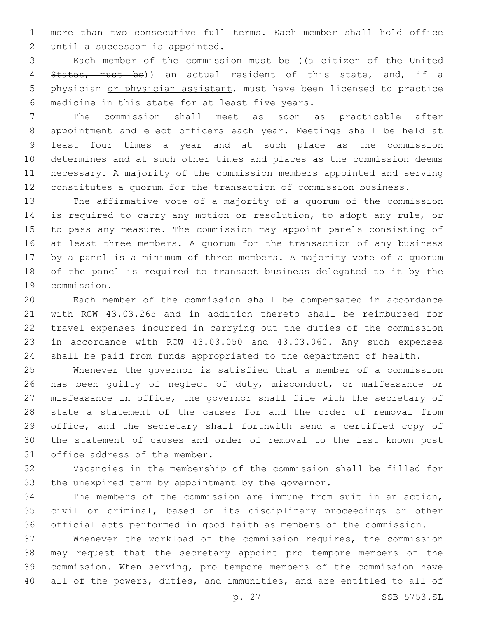more than two consecutive full terms. Each member shall hold office 2 until a successor is appointed.

 Each member of the commission must be ((a citizen of the United 4 States, must be)) an actual resident of this state, and, if a physician or physician assistant, must have been licensed to practice 6 medicine in this state for at least five years.

 The commission shall meet as soon as practicable after appointment and elect officers each year. Meetings shall be held at least four times a year and at such place as the commission determines and at such other times and places as the commission deems necessary. A majority of the commission members appointed and serving constitutes a quorum for the transaction of commission business.

 The affirmative vote of a majority of a quorum of the commission is required to carry any motion or resolution, to adopt any rule, or to pass any measure. The commission may appoint panels consisting of at least three members. A quorum for the transaction of any business by a panel is a minimum of three members. A majority vote of a quorum of the panel is required to transact business delegated to it by the 19 commission.

 Each member of the commission shall be compensated in accordance with RCW 43.03.265 and in addition thereto shall be reimbursed for travel expenses incurred in carrying out the duties of the commission in accordance with RCW 43.03.050 and 43.03.060. Any such expenses shall be paid from funds appropriated to the department of health.

 Whenever the governor is satisfied that a member of a commission has been guilty of neglect of duty, misconduct, or malfeasance or misfeasance in office, the governor shall file with the secretary of state a statement of the causes for and the order of removal from office, and the secretary shall forthwith send a certified copy of the statement of causes and order of removal to the last known post 31 office address of the member.

 Vacancies in the membership of the commission shall be filled for the unexpired term by appointment by the governor.

 The members of the commission are immune from suit in an action, civil or criminal, based on its disciplinary proceedings or other official acts performed in good faith as members of the commission.

 Whenever the workload of the commission requires, the commission may request that the secretary appoint pro tempore members of the commission. When serving, pro tempore members of the commission have all of the powers, duties, and immunities, and are entitled to all of

p. 27 SSB 5753.SL